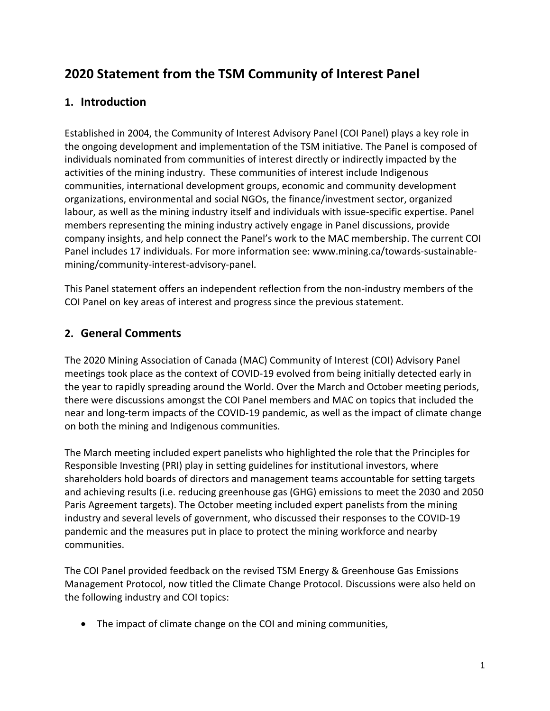# **2020 Statement from the TSM Community of Interest Panel**

### **1. Introduction**

Established in 2004, the Community of Interest Advisory Panel (COI Panel) plays a key role in the ongoing development and implementation of the TSM initiative. The Panel is composed of individuals nominated from communities of interest directly or indirectly impacted by the activities of the mining industry. These communities of interest include Indigenous communities, international development groups, economic and community development organizations, environmental and social NGOs, the finance/investment sector, organized labour, as well as the mining industry itself and individuals with issue-specific expertise. Panel members representing the mining industry actively engage in Panel discussions, provide company insights, and help connect the Panel's work to the MAC membership. The current COI Panel includes 17 individuals. For more information see: www.mining.ca/towards-sustainablemining/community-interest-advisory-panel.

This Panel statement offers an independent reflection from the non-industry members of the COI Panel on key areas of interest and progress since the previous statement.

### **2. General Comments**

The 2020 Mining Association of Canada (MAC) Community of Interest (COI) Advisory Panel meetings took place as the context of COVID-19 evolved from being initially detected early in the year to rapidly spreading around the World. Over the March and October meeting periods, there were discussions amongst the COI Panel members and MAC on topics that included the near and long-term impacts of the COVID-19 pandemic, as well as the impact of climate change on both the mining and Indigenous communities.

The March meeting included expert panelists who highlighted the role that the Principles for Responsible Investing (PRI) play in setting guidelines for institutional investors, where shareholders hold boards of directors and management teams accountable for setting targets and achieving results (i.e. reducing greenhouse gas (GHG) emissions to meet the 2030 and 2050 Paris Agreement targets). The October meeting included expert panelists from the mining industry and several levels of government, who discussed their responses to the COVID-19 pandemic and the measures put in place to protect the mining workforce and nearby communities.

The COI Panel provided feedback on the revised TSM Energy & Greenhouse Gas Emissions Management Protocol, now titled the Climate Change Protocol. Discussions were also held on the following industry and COI topics:

• The impact of climate change on the COI and mining communities,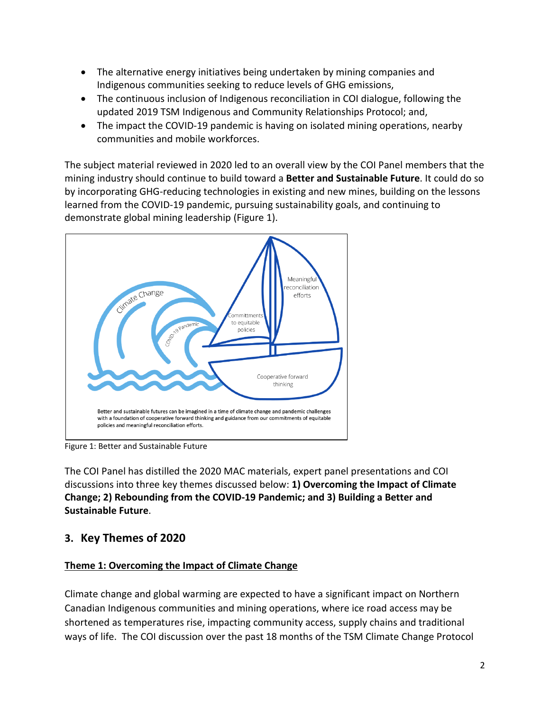- The alternative energy initiatives being undertaken by mining companies and Indigenous communities seeking to reduce levels of GHG emissions,
- The continuous inclusion of Indigenous reconciliation in COI dialogue, following the updated 2019 TSM Indigenous and Community Relationships Protocol; and,
- The impact the COVID-19 pandemic is having on isolated mining operations, nearby communities and mobile workforces.

The subject material reviewed in 2020 led to an overall view by the COI Panel members that the mining industry should continue to build toward a **Better and Sustainable Future**. It could do so by incorporating GHG-reducing technologies in existing and new mines, building on the lessons learned from the COVID-19 pandemic, pursuing sustainability goals, and continuing to demonstrate global mining leadership (Figure 1).



Figure 1: Better and Sustainable Future

The COI Panel has distilled the 2020 MAC materials, expert panel presentations and COI discussions into three key themes discussed below: **1) Overcoming the Impact of Climate Change; 2) Rebounding from the COVID-19 Pandemic; and 3) Building a Better and Sustainable Future**.

## **3. Key Themes of 2020**

#### **Theme 1: Overcoming the Impact of Climate Change**

Climate change and global warming are expected to have a significant impact on Northern Canadian Indigenous communities and mining operations, where ice road access may be shortened as temperatures rise, impacting community access, supply chains and traditional ways of life. The COI discussion over the past 18 months of the TSM Climate Change Protocol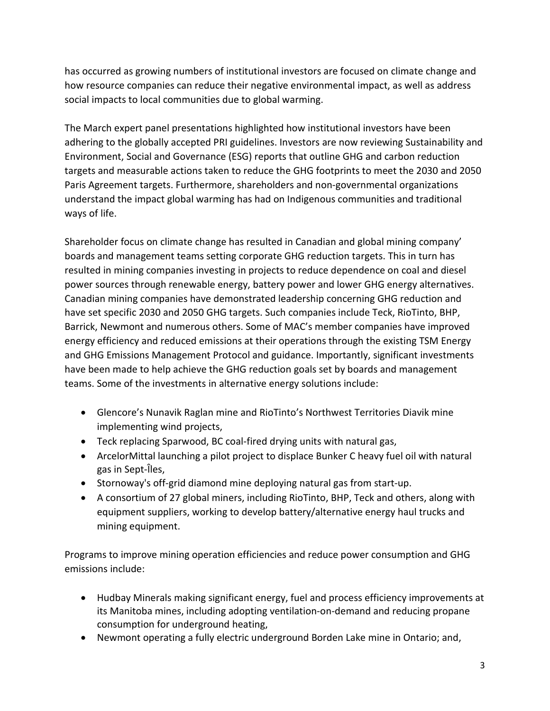has occurred as growing numbers of institutional investors are focused on climate change and how resource companies can reduce their negative environmental impact, as well as address social impacts to local communities due to global warming.

The March expert panel presentations highlighted how institutional investors have been adhering to the globally accepted PRI guidelines. Investors are now reviewing Sustainability and Environment, Social and Governance (ESG) reports that outline GHG and carbon reduction targets and measurable actions taken to reduce the GHG footprints to meet the 2030 and 2050 Paris Agreement targets. Furthermore, shareholders and non-governmental organizations understand the impact global warming has had on Indigenous communities and traditional ways of life.

Shareholder focus on climate change has resulted in Canadian and global mining company' boards and management teams setting corporate GHG reduction targets. This in turn has resulted in mining companies investing in projects to reduce dependence on coal and diesel power sources through renewable energy, battery power and lower GHG energy alternatives. Canadian mining companies have demonstrated leadership concerning GHG reduction and have set specific 2030 and 2050 GHG targets. Such companies include Teck, RioTinto, BHP, Barrick, Newmont and numerous others. Some of MAC's member companies have improved energy efficiency and reduced emissions at their operations through the existing TSM Energy and GHG Emissions Management Protocol and guidance. Importantly, significant investments have been made to help achieve the GHG reduction goals set by boards and management teams. Some of the investments in alternative energy solutions include:

- Glencore's Nunavik Raglan mine and RioTinto's Northwest Territories Diavik mine implementing wind projects,
- Teck replacing Sparwood, BC coal-fired drying units with natural gas,
- ArcelorMittal launching a pilot project to displace Bunker C heavy fuel oil with natural gas in Sept-Îles,
- Stornoway's off-grid diamond mine deploying natural gas from start-up.
- A consortium of 27 global miners, including RioTinto, BHP, Teck and others, along with equipment suppliers, working to develop battery/alternative energy haul trucks and mining equipment.

Programs to improve mining operation efficiencies and reduce power consumption and GHG emissions include:

- Hudbay Minerals making significant energy, fuel and process efficiency improvements at its Manitoba mines, including adopting ventilation-on-demand and reducing propane consumption for underground heating,
- Newmont operating a fully electric underground Borden Lake mine in Ontario; and,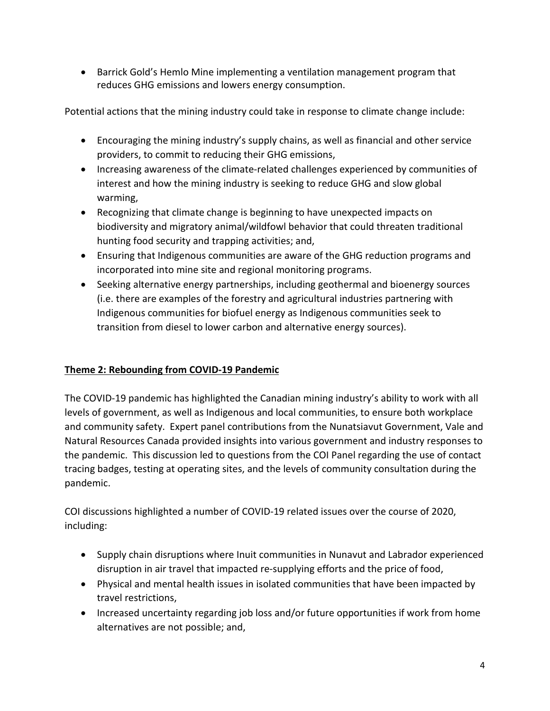• Barrick Gold's Hemlo Mine implementing a ventilation management program that reduces GHG emissions and lowers energy consumption.

Potential actions that the mining industry could take in response to climate change include:

- Encouraging the mining industry's supply chains, as well as financial and other service providers, to commit to reducing their GHG emissions,
- Increasing awareness of the climate-related challenges experienced by communities of interest and how the mining industry is seeking to reduce GHG and slow global warming,
- Recognizing that climate change is beginning to have unexpected impacts on biodiversity and migratory animal/wildfowl behavior that could threaten traditional hunting food security and trapping activities; and,
- Ensuring that Indigenous communities are aware of the GHG reduction programs and incorporated into mine site and regional monitoring programs.
- Seeking alternative energy partnerships, including geothermal and bioenergy sources (i.e. there are examples of the forestry and agricultural industries partnering with Indigenous communities for biofuel energy as Indigenous communities seek to transition from diesel to lower carbon and alternative energy sources).

#### **Theme 2: Rebounding from COVID-19 Pandemic**

The COVID-19 pandemic has highlighted the Canadian mining industry's ability to work with all levels of government, as well as Indigenous and local communities, to ensure both workplace and community safety. Expert panel contributions from the Nunatsiavut Government, Vale and Natural Resources Canada provided insights into various government and industry responses to the pandemic. This discussion led to questions from the COI Panel regarding the use of contact tracing badges, testing at operating sites, and the levels of community consultation during the pandemic.

COI discussions highlighted a number of COVID-19 related issues over the course of 2020, including:

- Supply chain disruptions where Inuit communities in Nunavut and Labrador experienced disruption in air travel that impacted re-supplying efforts and the price of food,
- Physical and mental health issues in isolated communities that have been impacted by travel restrictions,
- Increased uncertainty regarding job loss and/or future opportunities if work from home alternatives are not possible; and,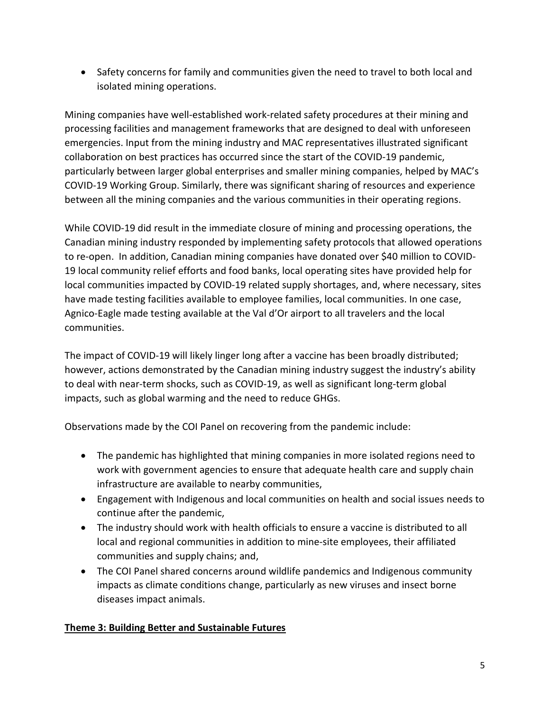• Safety concerns for family and communities given the need to travel to both local and isolated mining operations.

Mining companies have well-established work-related safety procedures at their mining and processing facilities and management frameworks that are designed to deal with unforeseen emergencies. Input from the mining industry and MAC representatives illustrated significant collaboration on best practices has occurred since the start of the COVID-19 pandemic, particularly between larger global enterprises and smaller mining companies, helped by MAC's COVID-19 Working Group. Similarly, there was significant sharing of resources and experience between all the mining companies and the various communities in their operating regions.

While COVID-19 did result in the immediate closure of mining and processing operations, the Canadian mining industry responded by implementing safety protocols that allowed operations to re-open. In addition, Canadian mining companies have donated over \$40 million to COVID-19 local community relief efforts and food banks, local operating sites have provided help for local communities impacted by COVID-19 related supply shortages, and, where necessary, sites have made testing facilities available to employee families, local communities. In one case, Agnico-Eagle made testing available at the Val d'Or airport to all travelers and the local communities.

The impact of COVID-19 will likely linger long after a vaccine has been broadly distributed; however, actions demonstrated by the Canadian mining industry suggest the industry's ability to deal with near-term shocks, such as COVID-19, as well as significant long-term global impacts, such as global warming and the need to reduce GHGs.

Observations made by the COI Panel on recovering from the pandemic include:

- The pandemic has highlighted that mining companies in more isolated regions need to work with government agencies to ensure that adequate health care and supply chain infrastructure are available to nearby communities,
- Engagement with Indigenous and local communities on health and social issues needs to continue after the pandemic,
- The industry should work with health officials to ensure a vaccine is distributed to all local and regional communities in addition to mine-site employees, their affiliated communities and supply chains; and,
- The COI Panel shared concerns around wildlife pandemics and Indigenous community impacts as climate conditions change, particularly as new viruses and insect borne diseases impact animals.

#### **Theme 3: Building Better and Sustainable Futures**